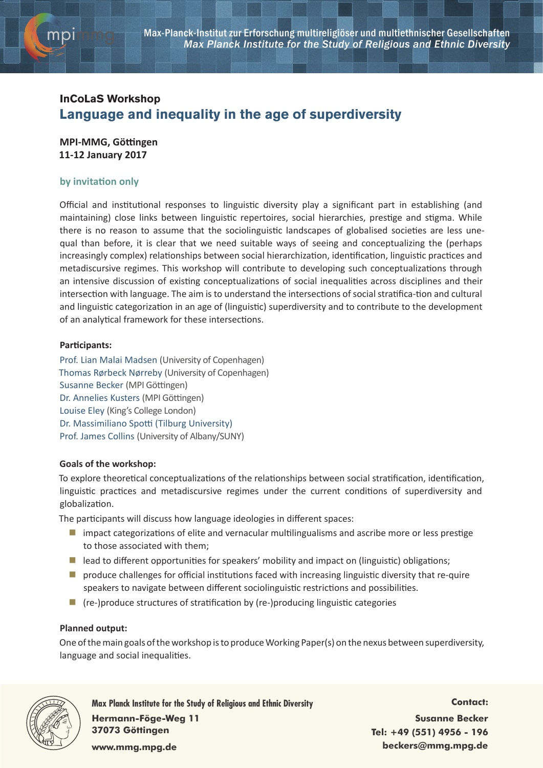

# **InCoLaS Workshop Language and inequality in the age of superdiversity**

**MPI-MMG, Göttingen 11-12 January 2017**

## **by invitation only**

Official and institutional responses to linguistic diversity play a significant part in establishing (and maintaining) close links between linguistic repertoires, social hierarchies, prestige and stigma. While there is no reason to assume that the sociolinguistic landscapes of globalised societies are less unequal than before, it is clear that we need suitable ways of seeing and conceptualizing the (perhaps increasingly complex) relationships between social hierarchization, identification, linguistic practices and metadiscursive regimes. This workshop will contribute to developing such conceptualizations through an intensive discussion of existing conceptualizations of social inequalities across disciplines and their intersection with language. The aim is to understand the intersections of social stratifica-tion and cultural and linguistic categorization in an age of (linguistic) superdiversity and to contribute to the development of an analytical framework for these intersections.

### **Participants:**

Prof. Lian Malai Madsen (University of Copenhagen) Thomas Rørbeck Nørreby (University of Copenhagen) Susanne Becker (MPI Göttingen) Dr. Annelies Kusters (MPI Göttingen) Louise Eley (King's College London) Dr. Massimiliano Spotti (Tilburg University) Prof. James Collins (University of Albany/SUNY)

### **Goals of the workshop:**

To explore theoretical conceptualizations of the relationships between social stratification, identification, linguistic practices and metadiscursive regimes under the current conditions of superdiversity and globalization.

The participants will discuss how language ideologies in different spaces:

- **I** impact categorizations of elite and vernacular multilingualisms and ascribe more or less prestige to those associated with them;
- $\blacksquare$  lead to different opportunities for speakers' mobility and impact on (linguistic) obligations;
- **P** produce challenges for official institutions faced with increasing linguistic diversity that re-quire speakers to navigate between different sociolinguistic restrictions and possibilities.
- $\blacksquare$  (re-)produce structures of stratification by (re-)producing linguistic categories

### **Planned output:**

One of the main goals of the workshop is to produce Working Paper(s) on the nexus between superdiversity, language and social inequalities.



**Max Planck Institute for the Study of Religious and Ethnic Diversity Hermann-Föge-Weg 11 37073 Göttingen www.mmg.mpg.de**

**Contact: Susanne Becker Tel: +49 (551) 4956 - 196 beckers@mmg.mpg.de**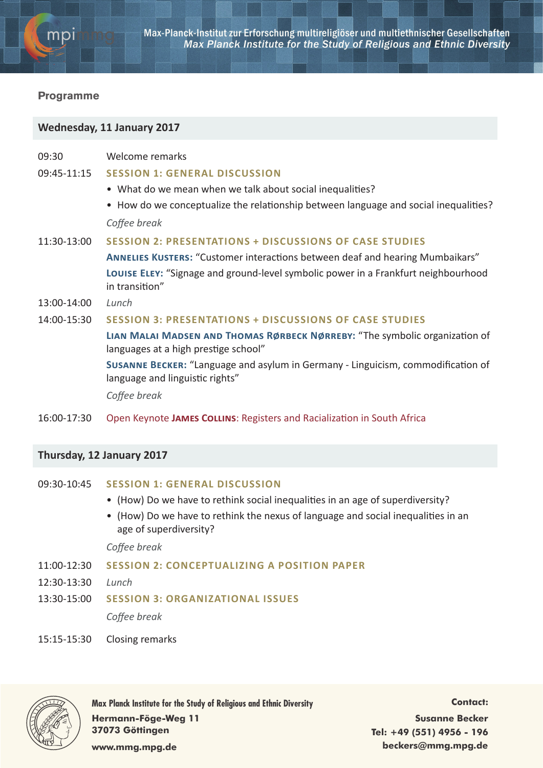

## **Programme**

# **Wednesday, 11 January 2017**

| 09:30 | Welcome remarks |
|-------|-----------------|
|       |                 |

09:45-11:15 **Session 1: General discussion**

- What do we mean when we talk about social inequalities?
- How do we conceptualize the relationship between language and social inequalities? *Coffee break*

### 11:30-13:00 **Session 2: Presentations + discussions of case studies**

**Annelies Kusters:** "Customer interactions between deaf and hearing Mumbaikars" **Louise Eley:** "Signage and ground-level symbolic power in a Frankfurt neighbourhood in transition"

13:00-14:00 *Lunch*

### 14:00-15:30 **Session 3: Presentations + discussions of case studies**

**Lian Malai Madsen and Thomas Rørbeck Nørreby:** "The symbolic organization of languages at a high prestige school"

**Susanne Becker:** "Language and asylum in Germany - Linguicism, commodification of language and linguistic rights"

*Coffee break*

16:00-17:30 Open Keynote **James Collins**: Registers and Racialization in South Africa

# **Thursday, 12 January 2017**

## 09:30-10:45 **Session 1: General discussion**

- (How) Do we have to rethink social inequalities in an age of superdiversity?
- (How) Do we have to rethink the nexus of language and social inequalities in an age of superdiversity?

*Coffee break*

- 11:00-12:30 **Session 2: Conceptualizing a position paper**
- 12:30-13:30 *Lunch*
- 13:30-15:00 **Session 3: Organizational issues**

*Coffee break*

15:15-15:30 Closing remarks



**Max Planck Institute for the Study of Religious and Ethnic Diversity Hermann-Föge-Weg 11 37073 Göttingen**

**Contact: Susanne Becker Tel: +49 (551) 4956 - 196 beckers@mmg.mpg.de**